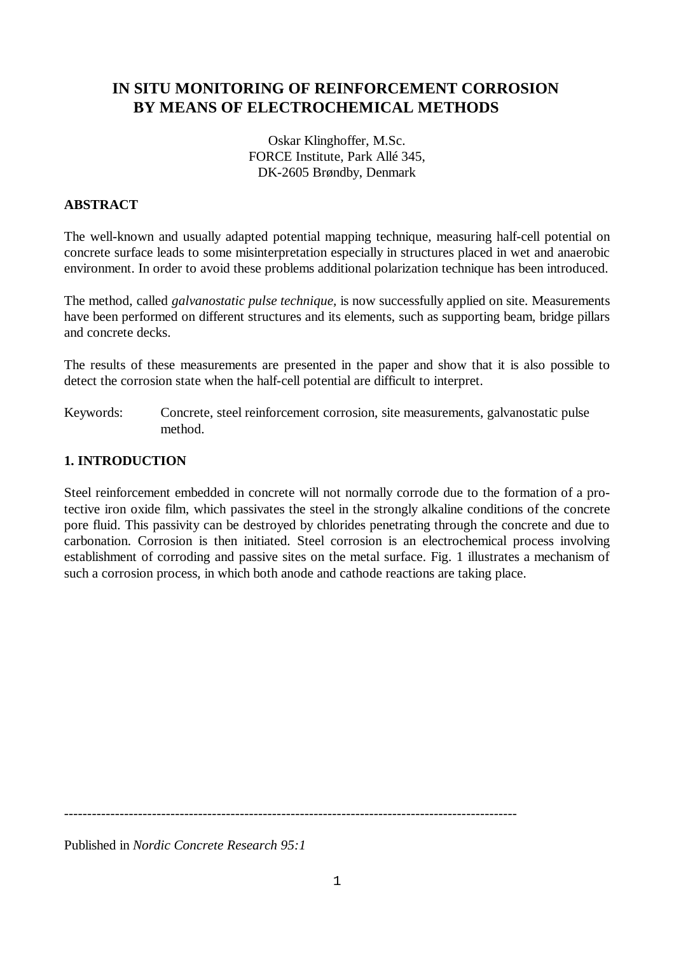# **IN SITU MONITORING OF REINFORCEMENT CORROSION BY MEANS OF ELECTROCHEMICAL METHODS**

Oskar Klinghoffer, M.Sc. FORCE Institute, Park Allé 345, DK-2605 Brøndby, Denmark

## **ABSTRACT**

The well-known and usually adapted potential mapping technique, measuring half-cell potential on concrete surface leads to some misinterpretation especially in structures placed in wet and anaerobic environment. In order to avoid these problems additional polarization technique has been introduced.

The method, called *galvanostatic pulse technique,* is now successfully applied on site. Measurements have been performed on different structures and its elements, such as supporting beam, bridge pillars and concrete decks.

The results of these measurements are presented in the paper and show that it is also possible to detect the corrosion state when the half-cell potential are difficult to interpret.

Keywords: Concrete, steel reinforcement corrosion, site measurements, galvanostatic pulse method.

### **1. INTRODUCTION**

Steel reinforcement embedded in concrete will not normally corrode due to the formation of a protective iron oxide film, which passivates the steel in the strongly alkaline conditions of the concrete pore fluid. This passivity can be destroyed by chlorides penetrating through the concrete and due to carbonation. Corrosion is then initiated. Steel corrosion is an electrochemical process involving establishment of corroding and passive sites on the metal surface. Fig. 1 illustrates a mechanism of such a corrosion process, in which both anode and cathode reactions are taking place.

--------------------------------------------------------------------------------------------------

Published in *Nordic Concrete Research 95:1*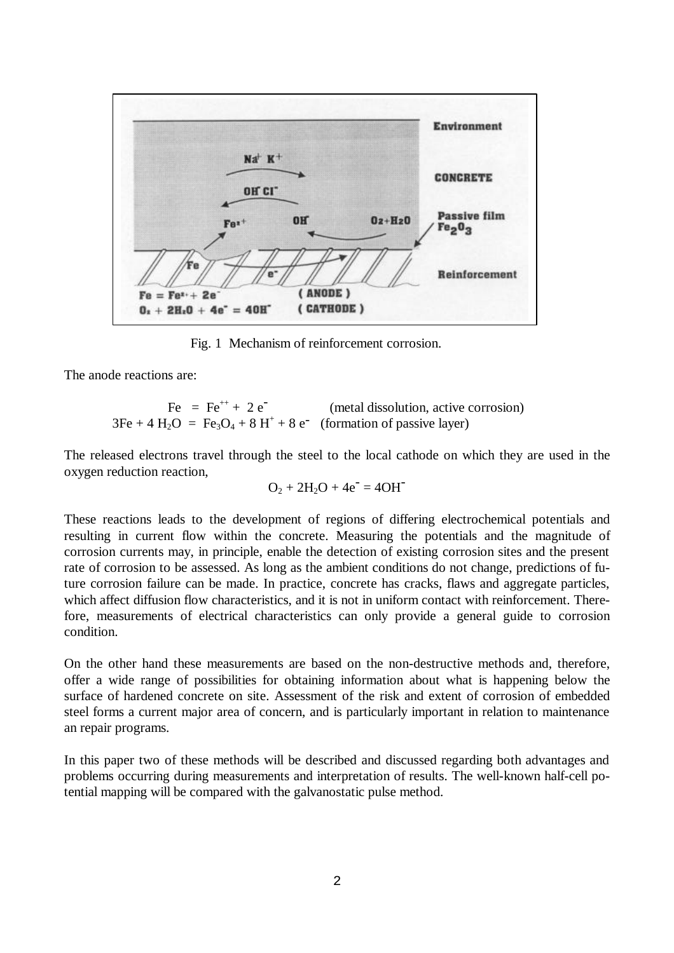

Fig. 1 Mechanism of reinforcement corrosion.

The anode reactions are:

$$
Fe = Fe^{++} + 2 e^{-}
$$
 (metal dissolution, active corrosion)  
3Fe + 4 H<sub>2</sub>O = Fe<sub>3</sub>O<sub>4</sub> + 8 H<sup>+</sup> + 8 e<sup>-</sup> (formation of passive layer)

The released electrons travel through the steel to the local cathode on which they are used in the oxygen reduction reaction,

$$
O_2 + 2H_2O + 4e^- = 4OH^-
$$

These reactions leads to the development of regions of differing electrochemical potentials and resulting in current flow within the concrete. Measuring the potentials and the magnitude of corrosion currents may, in principle, enable the detection of existing corrosion sites and the present rate of corrosion to be assessed. As long as the ambient conditions do not change, predictions of future corrosion failure can be made. In practice, concrete has cracks, flaws and aggregate particles, which affect diffusion flow characteristics, and it is not in uniform contact with reinforcement. Therefore, measurements of electrical characteristics can only provide a general guide to corrosion condition.

On the other hand these measurements are based on the non-destructive methods and, therefore, offer a wide range of possibilities for obtaining information about what is happening below the surface of hardened concrete on site. Assessment of the risk and extent of corrosion of embedded steel forms a current major area of concern, and is particularly important in relation to maintenance an repair programs.

In this paper two of these methods will be described and discussed regarding both advantages and problems occurring during measurements and interpretation of results. The well-known half-cell potential mapping will be compared with the galvanostatic pulse method.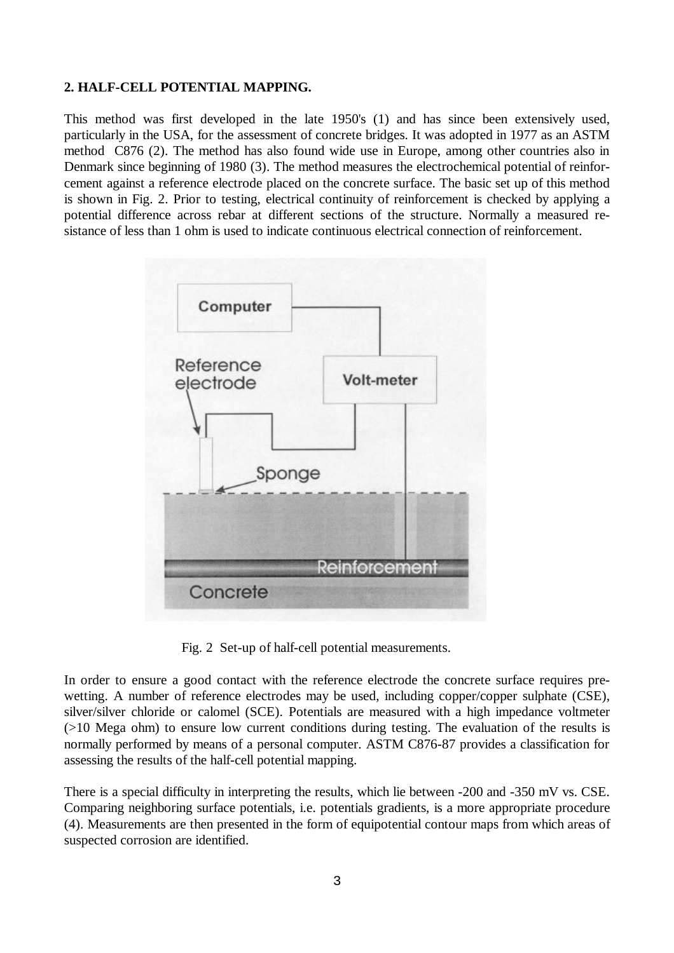## **2. HALF-CELL POTENTIAL MAPPING.**

This method was first developed in the late 1950's (1) and has since been extensively used, particularly in the USA, for the assessment of concrete bridges. It was adopted in 1977 as an ASTM method C876 (2). The method has also found wide use in Europe, among other countries also in Denmark since beginning of 1980 (3). The method measures the electrochemical potential of reinforcement against a reference electrode placed on the concrete surface. The basic set up of this method is shown in Fig. 2. Prior to testing, electrical continuity of reinforcement is checked by applying a potential difference across rebar at different sections of the structure. Normally a measured resistance of less than 1 ohm is used to indicate continuous electrical connection of reinforcement.



Fig. 2 Set-up of half-cell potential measurements.

In order to ensure a good contact with the reference electrode the concrete surface requires prewetting. A number of reference electrodes may be used, including copper/copper sulphate (CSE), silver/silver chloride or calomel (SCE). Potentials are measured with a high impedance voltmeter (>10 Mega ohm) to ensure low current conditions during testing. The evaluation of the results is normally performed by means of a personal computer. ASTM C876-87 provides a classification for assessing the results of the half-cell potential mapping.

There is a special difficulty in interpreting the results, which lie between -200 and -350 mV vs. CSE. Comparing neighboring surface potentials, i.e. potentials gradients, is a more appropriate procedure (4). Measurements are then presented in the form of equipotential contour maps from which areas of suspected corrosion are identified.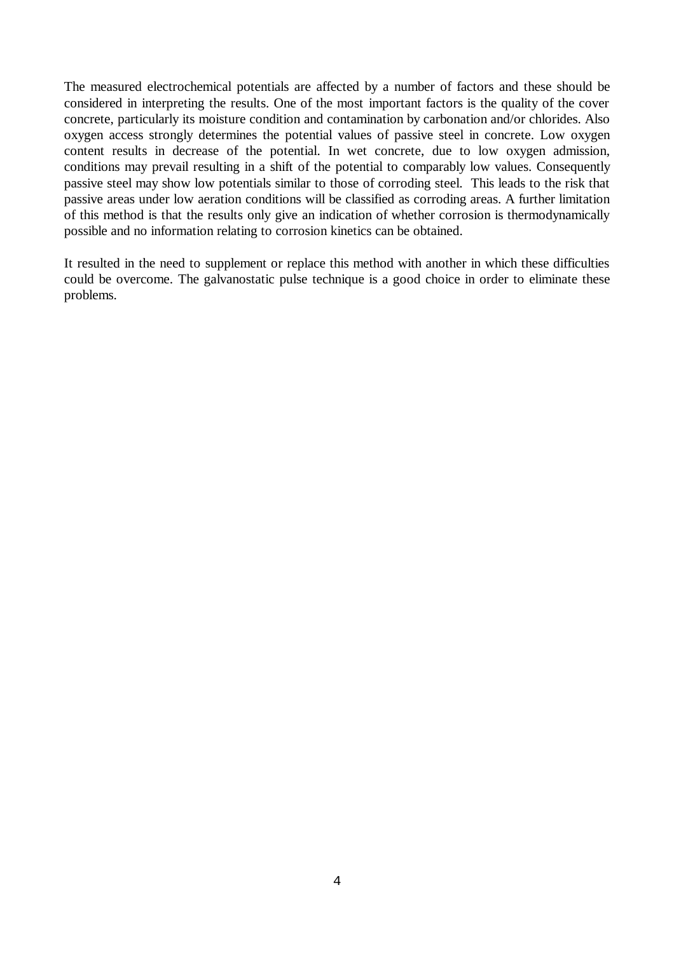The measured electrochemical potentials are affected by a number of factors and these should be considered in interpreting the results. One of the most important factors is the quality of the cover concrete, particularly its moisture condition and contamination by carbonation and/or chlorides. Also oxygen access strongly determines the potential values of passive steel in concrete. Low oxygen content results in decrease of the potential. In wet concrete, due to low oxygen admission, conditions may prevail resulting in a shift of the potential to comparably low values. Consequently passive steel may show low potentials similar to those of corroding steel. This leads to the risk that passive areas under low aeration conditions will be classified as corroding areas. A further limitation of this method is that the results only give an indication of whether corrosion is thermodynamically possible and no information relating to corrosion kinetics can be obtained.

It resulted in the need to supplement or replace this method with another in which these difficulties could be overcome. The galvanostatic pulse technique is a good choice in order to eliminate these problems.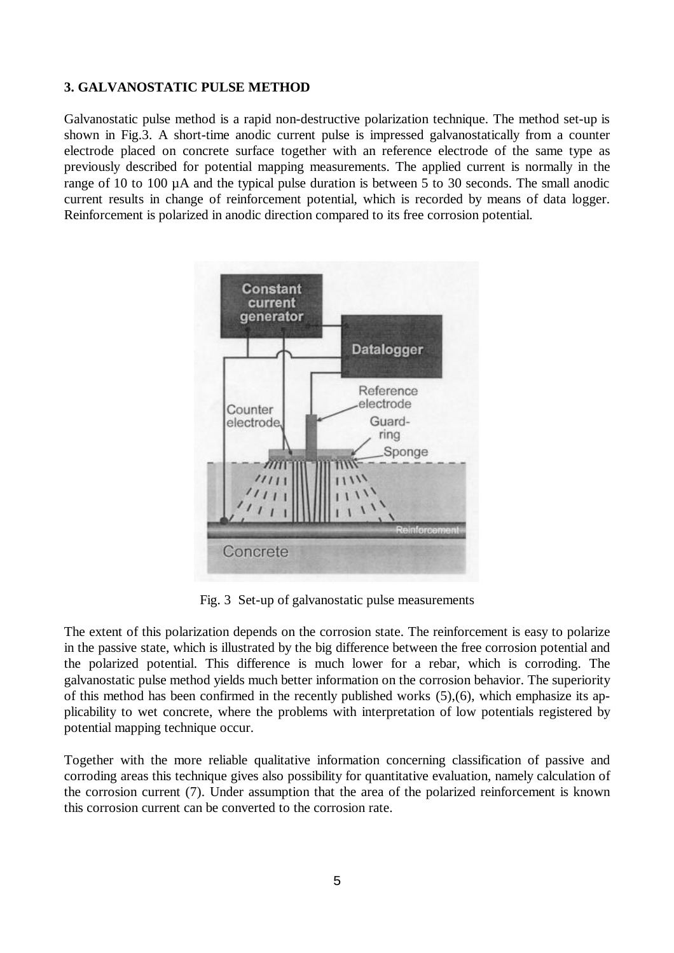#### **3. GALVANOSTATIC PULSE METHOD**

Galvanostatic pulse method is a rapid non-destructive polarization technique. The method set-up is shown in Fig.3. A short-time anodic current pulse is impressed galvanostatically from a counter electrode placed on concrete surface together with an reference electrode of the same type as previously described for potential mapping measurements. The applied current is normally in the range of 10 to 100 µA and the typical pulse duration is between 5 to 30 seconds. The small anodic current results in change of reinforcement potential, which is recorded by means of data logger. Reinforcement is polarized in anodic direction compared to its free corrosion potential.



Fig. 3 Set-up of galvanostatic pulse measurements

The extent of this polarization depends on the corrosion state. The reinforcement is easy to polarize in the passive state, which is illustrated by the big difference between the free corrosion potential and the polarized potential. This difference is much lower for a rebar, which is corroding. The galvanostatic pulse method yields much better information on the corrosion behavior. The superiority of this method has been confirmed in the recently published works (5),(6), which emphasize its applicability to wet concrete, where the problems with interpretation of low potentials registered by potential mapping technique occur.

Together with the more reliable qualitative information concerning classification of passive and corroding areas this technique gives also possibility for quantitative evaluation, namely calculation of the corrosion current (7). Under assumption that the area of the polarized reinforcement is known this corrosion current can be converted to the corrosion rate.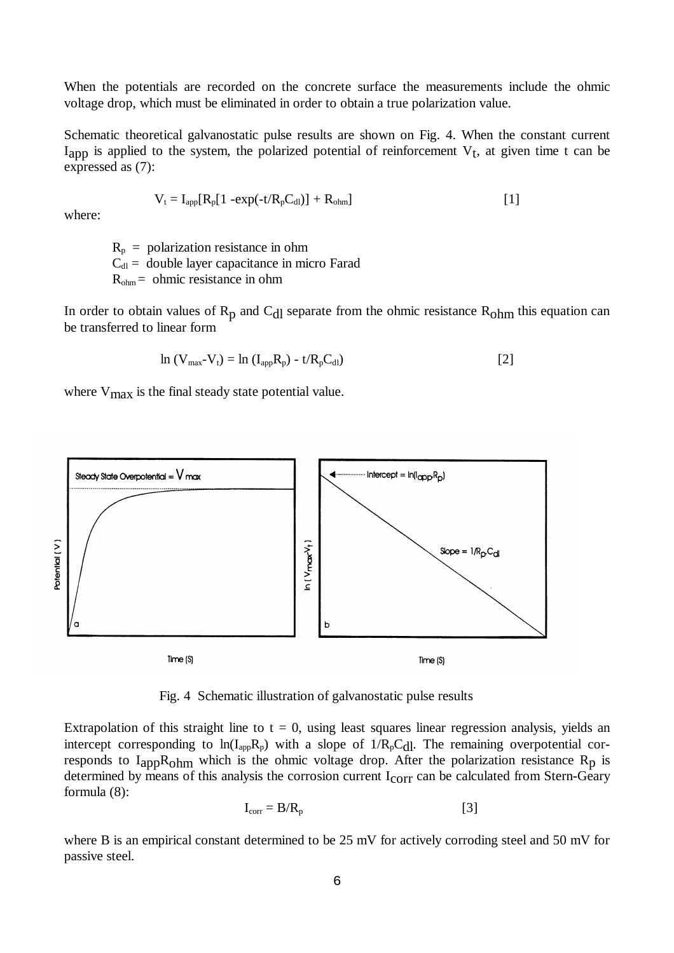When the potentials are recorded on the concrete surface the measurements include the ohmic voltage drop, which must be eliminated in order to obtain a true polarization value.

Schematic theoretical galvanostatic pulse results are shown on Fig. 4. When the constant current  $I_{app}$  is applied to the system, the polarized potential of reinforcement  $V_t$ , at given time t can be expressed as (7):

$$
V_t = I_{app}[R_p[1 - exp(-t/R_pC_{dl})] + R_{ohm}]
$$
\n[1]

where:

 $R_p$  = polarization resistance in ohm  $C_{\text{dl}}$  = double layer capacitance in micro Farad  $R_{ohm}$  = ohmic resistance in ohm

In order to obtain values of  $R_p$  and  $C_{d}$  separate from the ohmic resistance  $R_{ohm}$  this equation can be transferred to linear form

$$
\ln (V_{\text{max}} - V_t) = \ln (I_{\text{app}} R_p) - t / R_p C_{\text{d}l})
$$
\n[2]

where V<sub>max</sub> is the final steady state potential value.



Fig. 4 Schematic illustration of galvanostatic pulse results

Extrapolation of this straight line to  $t = 0$ , using least squares linear regression analysis, yields an intercept corresponding to  $ln(I_{app}R_p)$  with a slope of  $1/R_pC_{dl}$ . The remaining overpotential corresponds to  $I_{app}R_{ohm}$  which is the ohmic voltage drop. After the polarization resistance  $R_p$  is determined by means of this analysis the corrosion current I<sub>corr</sub> can be calculated from Stern-Geary formula (8):

$$
I_{corr} = B/R_p \tag{3}
$$

where B is an empirical constant determined to be 25 mV for actively corroding steel and 50 mV for passive steel.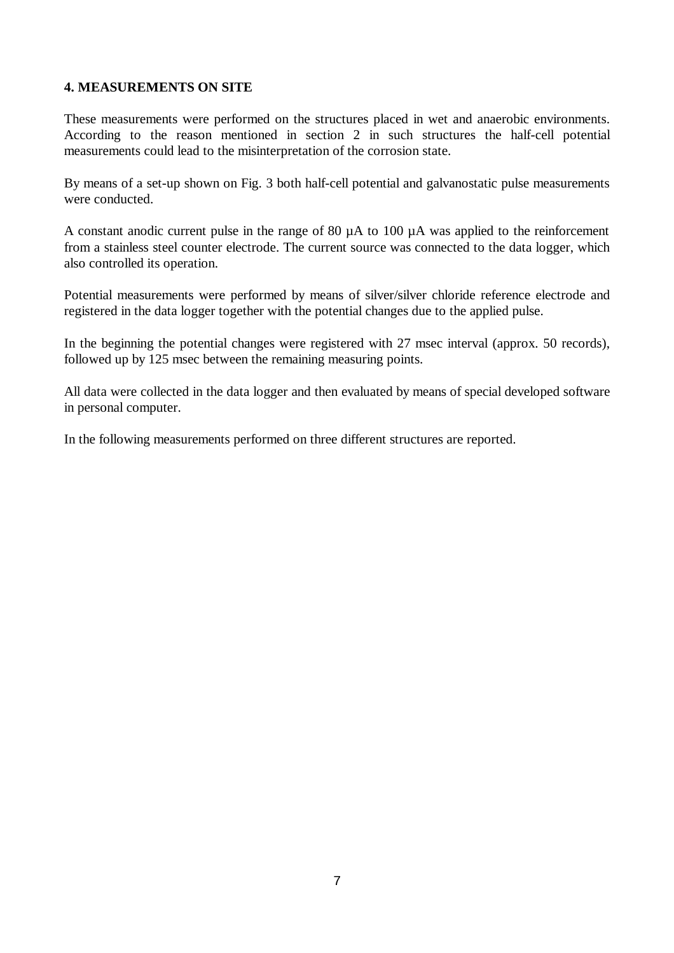### **4. MEASUREMENTS ON SITE**

These measurements were performed on the structures placed in wet and anaerobic environments. According to the reason mentioned in section 2 in such structures the half-cell potential measurements could lead to the misinterpretation of the corrosion state.

By means of a set-up shown on Fig. 3 both half-cell potential and galvanostatic pulse measurements were conducted.

A constant anodic current pulse in the range of 80 µA to 100 µA was applied to the reinforcement from a stainless steel counter electrode. The current source was connected to the data logger, which also controlled its operation.

Potential measurements were performed by means of silver/silver chloride reference electrode and registered in the data logger together with the potential changes due to the applied pulse.

In the beginning the potential changes were registered with 27 msec interval (approx. 50 records), followed up by 125 msec between the remaining measuring points.

All data were collected in the data logger and then evaluated by means of special developed software in personal computer.

In the following measurements performed on three different structures are reported.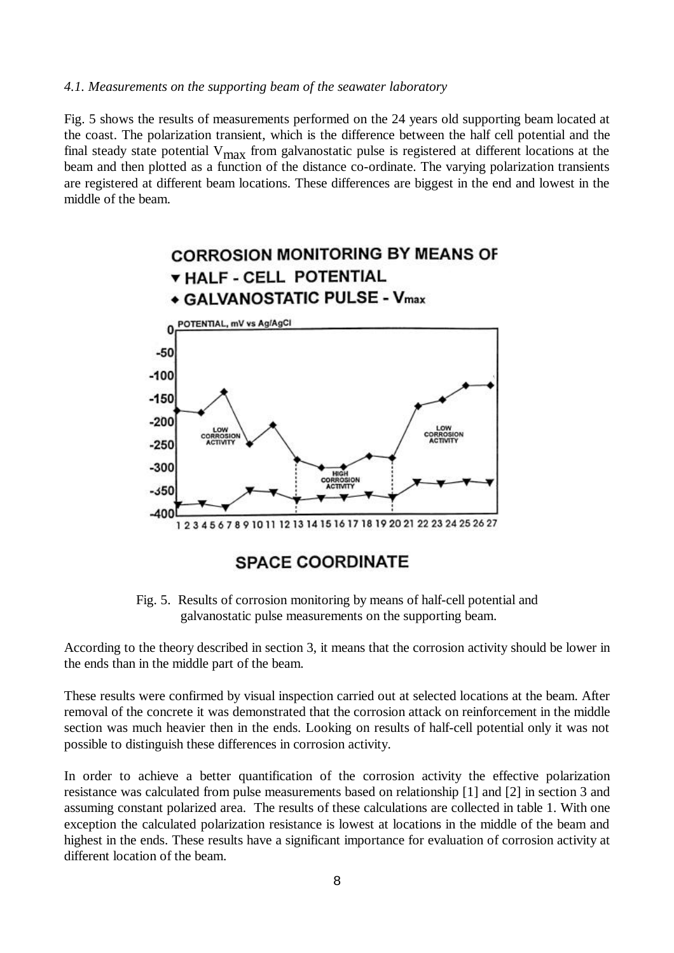#### *4.1. Measurements on the supporting beam of the seawater laboratory*

Fig. 5 shows the results of measurements performed on the 24 years old supporting beam located at the coast. The polarization transient, which is the difference between the half cell potential and the final steady state potential  $V_{\text{max}}$  from galvanostatic pulse is registered at different locations at the beam and then plotted as a function of the distance co-ordinate. The varying polarization transients are registered at different beam locations. These differences are biggest in the end and lowest in the middle of the beam.



Fig. 5. Results of corrosion monitoring by means of half-cell potential and galvanostatic pulse measurements on the supporting beam.

According to the theory described in section 3, it means that the corrosion activity should be lower in the ends than in the middle part of the beam.

These results were confirmed by visual inspection carried out at selected locations at the beam. After removal of the concrete it was demonstrated that the corrosion attack on reinforcement in the middle section was much heavier then in the ends. Looking on results of half-cell potential only it was not possible to distinguish these differences in corrosion activity.

In order to achieve a better quantification of the corrosion activity the effective polarization resistance was calculated from pulse measurements based on relationship [1] and [2] in section 3 and assuming constant polarized area. The results of these calculations are collected in table 1. With one exception the calculated polarization resistance is lowest at locations in the middle of the beam and highest in the ends. These results have a significant importance for evaluation of corrosion activity at different location of the beam.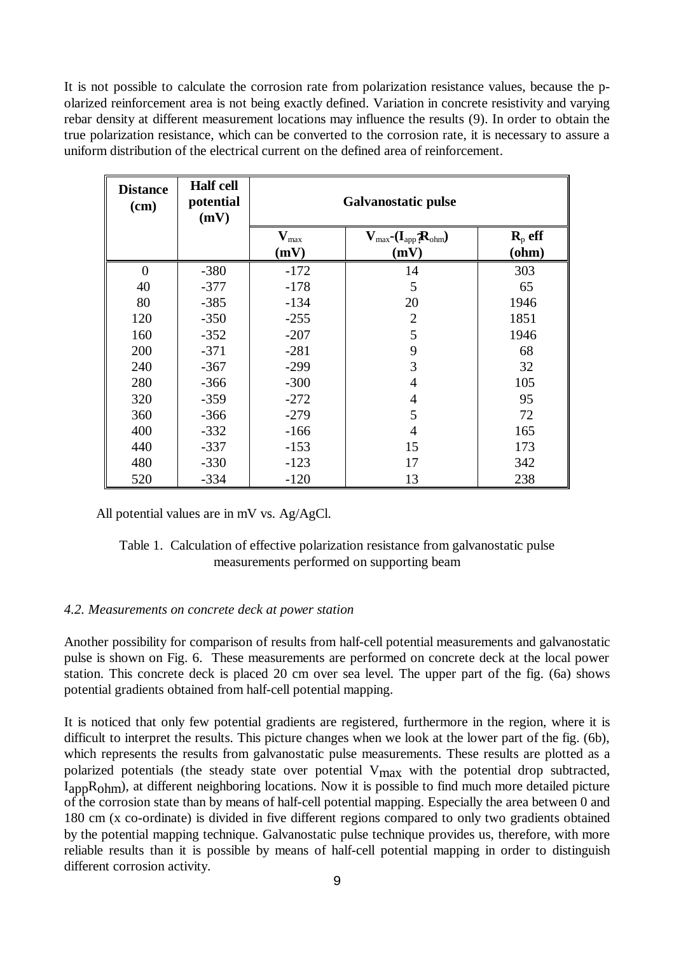It is not possible to calculate the corrosion rate from polarization resistance values, because the polarized reinforcement area is not being exactly defined. Variation in concrete resistivity and varying rebar density at different measurement locations may influence the results (9). In order to obtain the true polarization resistance, which can be converted to the corrosion rate, it is necessary to assure a uniform distribution of the electrical current on the defined area of reinforcement.

| <b>Distance</b><br>(cm) | <b>Half cell</b><br>potential<br>(mV) | <b>Galvanostatic pulse</b>        |                                                             |                               |
|-------------------------|---------------------------------------|-----------------------------------|-------------------------------------------------------------|-------------------------------|
|                         |                                       | $\mathbf{V}_{\text{max}}$<br>(mV) | $V_{\text{max}}$ - $(I_{\text{app}}R_{\text{ohm}})$<br>(mV) | $\mathbf{R}_{p}$ eff<br>(ohm) |
| $\theta$                | $-380$                                | $-172$                            | 14                                                          | 303                           |
| 40                      | $-377$                                | $-178$                            | 5                                                           | 65                            |
| 80                      | $-385$                                | $-134$                            | 20                                                          | 1946                          |
| 120                     | $-350$                                | $-255$                            | $\overline{2}$                                              | 1851                          |
| 160                     | $-352$                                | $-207$                            | 5                                                           | 1946                          |
| 200                     | $-371$                                | $-281$                            | 9                                                           | 68                            |
| 240                     | $-367$                                | $-299$                            | 3                                                           | 32                            |
| 280                     | $-366$                                | $-300$                            | $\overline{4}$                                              | 105                           |
| 320                     | $-359$                                | $-272$                            | $\overline{4}$                                              | 95                            |
| 360                     | $-366$                                | $-279$                            | 5                                                           | 72                            |
| 400                     | $-332$                                | $-166$                            | $\overline{4}$                                              | 165                           |
| 440                     | $-337$                                | $-153$                            | 15                                                          | 173                           |
| 480                     | $-330$                                | $-123$                            | 17                                                          | 342                           |
| 520                     | $-334$                                | $-120$                            | 13                                                          | 238                           |

All potential values are in mV vs. Ag/AgCl.

#### Table 1. Calculation of effective polarization resistance from galvanostatic pulse measurements performed on supporting beam

#### *4.2. Measurements on concrete deck at power station*

Another possibility for comparison of results from half-cell potential measurements and galvanostatic pulse is shown on Fig. 6. These measurements are performed on concrete deck at the local power station. This concrete deck is placed 20 cm over sea level. The upper part of the fig. (6a) shows potential gradients obtained from half-cell potential mapping.

It is noticed that only few potential gradients are registered, furthermore in the region, where it is difficult to interpret the results. This picture changes when we look at the lower part of the fig. (6b), which represents the results from galvanostatic pulse measurements. These results are plotted as a polarized potentials (the steady state over potential V<sub>max</sub> with the potential drop subtracted, I<sub>app</sub>R<sub>ohm</sub>), at different neighboring locations. Now it is possible to find much more detailed picture of the corrosion state than by means of half-cell potential mapping. Especially the area between 0 and 180 cm (x co-ordinate) is divided in five different regions compared to only two gradients obtained by the potential mapping technique. Galvanostatic pulse technique provides us, therefore, with more reliable results than it is possible by means of half-cell potential mapping in order to distinguish different corrosion activity.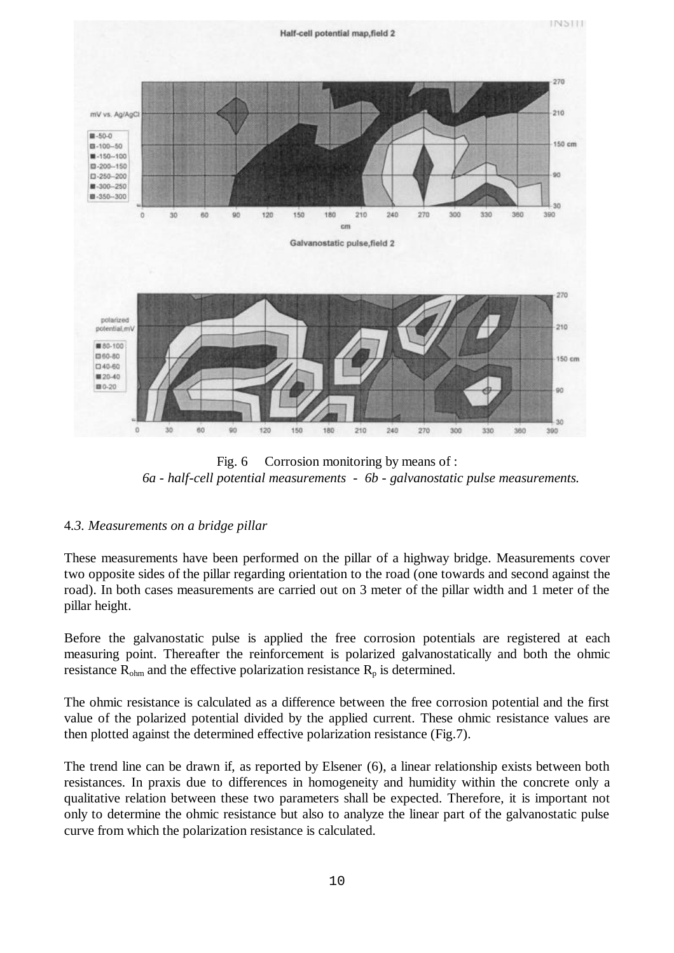

Fig. 6 Corrosion monitoring by means of : *6a - half-cell potential measurements - 6b - galvanostatic pulse measurements.*

#### 4*.3. Measurements on a bridge pillar*

These measurements have been performed on the pillar of a highway bridge. Measurements cover two opposite sides of the pillar regarding orientation to the road (one towards and second against the road). In both cases measurements are carried out on 3 meter of the pillar width and 1 meter of the pillar height.

Before the galvanostatic pulse is applied the free corrosion potentials are registered at each measuring point. Thereafter the reinforcement is polarized galvanostatically and both the ohmic resistance  $R_{\text{ohm}}$  and the effective polarization resistance  $R_p$  is determined.

The ohmic resistance is calculated as a difference between the free corrosion potential and the first value of the polarized potential divided by the applied current. These ohmic resistance values are then plotted against the determined effective polarization resistance (Fig.7).

The trend line can be drawn if, as reported by Elsener (6), a linear relationship exists between both resistances. In praxis due to differences in homogeneity and humidity within the concrete only a qualitative relation between these two parameters shall be expected. Therefore, it is important not only to determine the ohmic resistance but also to analyze the linear part of the galvanostatic pulse curve from which the polarization resistance is calculated.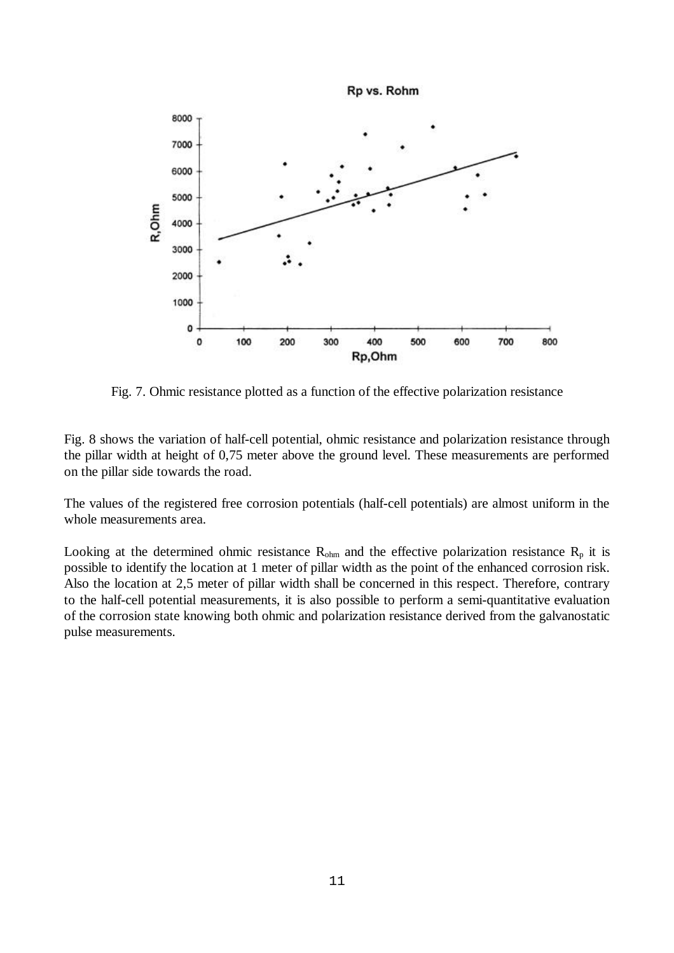

Fig. 7. Ohmic resistance plotted as a function of the effective polarization resistance

Fig. 8 shows the variation of half-cell potential, ohmic resistance and polarization resistance through the pillar width at height of 0,75 meter above the ground level. These measurements are performed on the pillar side towards the road.

The values of the registered free corrosion potentials (half-cell potentials) are almost uniform in the whole measurements area.

Looking at the determined ohmic resistance  $R_{\text{ohm}}$  and the effective polarization resistance  $R_{p}$  it is possible to identify the location at 1 meter of pillar width as the point of the enhanced corrosion risk. Also the location at 2,5 meter of pillar width shall be concerned in this respect. Therefore, contrary to the half-cell potential measurements, it is also possible to perform a semi-quantitative evaluation of the corrosion state knowing both ohmic and polarization resistance derived from the galvanostatic pulse measurements.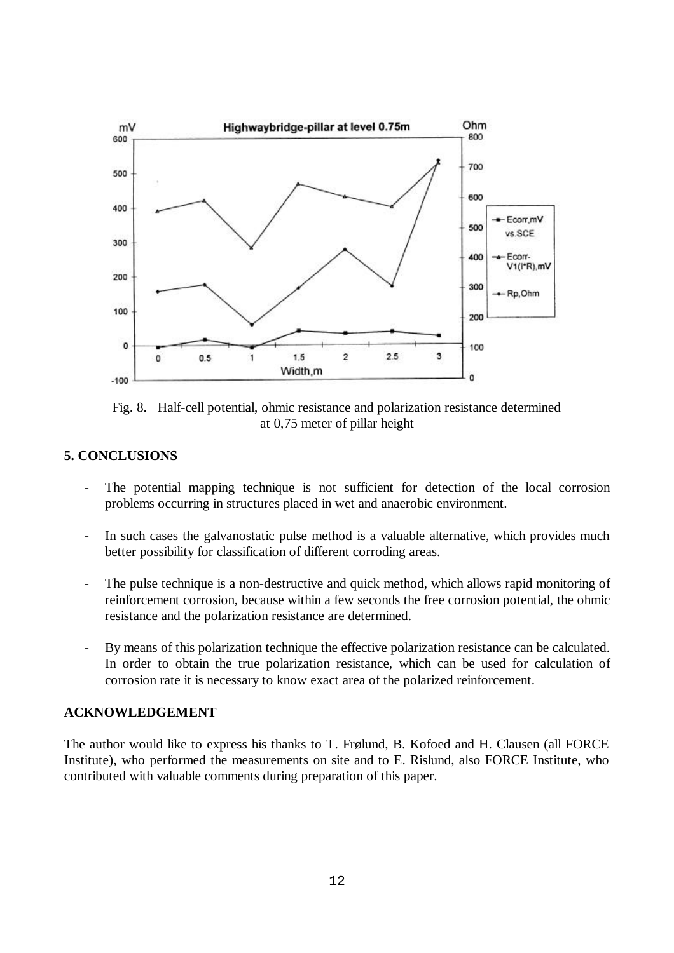

Fig. 8. Half-cell potential, ohmic resistance and polarization resistance determined at 0,75 meter of pillar height

#### **5. CONCLUSIONS**

- The potential mapping technique is not sufficient for detection of the local corrosion problems occurring in structures placed in wet and anaerobic environment.
- In such cases the galvanostatic pulse method is a valuable alternative, which provides much better possibility for classification of different corroding areas.
- The pulse technique is a non-destructive and quick method, which allows rapid monitoring of reinforcement corrosion, because within a few seconds the free corrosion potential, the ohmic resistance and the polarization resistance are determined.
- By means of this polarization technique the effective polarization resistance can be calculated. In order to obtain the true polarization resistance, which can be used for calculation of corrosion rate it is necessary to know exact area of the polarized reinforcement.

### **ACKNOWLEDGEMENT**

The author would like to express his thanks to T. Frølund, B. Kofoed and H. Clausen (all FORCE Institute), who performed the measurements on site and to E. Rislund, also FORCE Institute, who contributed with valuable comments during preparation of this paper.